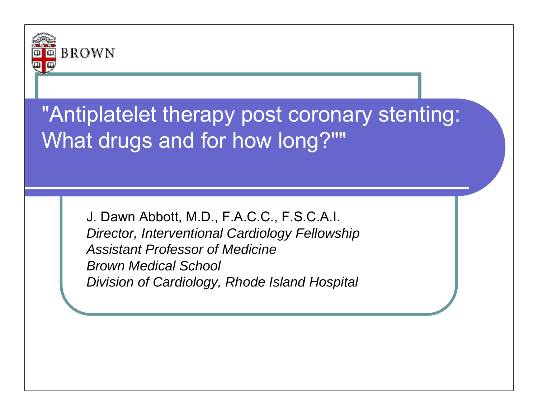

### "Antiplatelet therapy post coronary stenting: What drugs and for how long?""

J. Dawn Abbott, M.D., F.A.C.C., F.S.C.A.I. *Director, Interventional Cardiology Fellowship Assistant Professor of MedicineBrown Medical School Division of Cardiology, Rhode Island Hospital*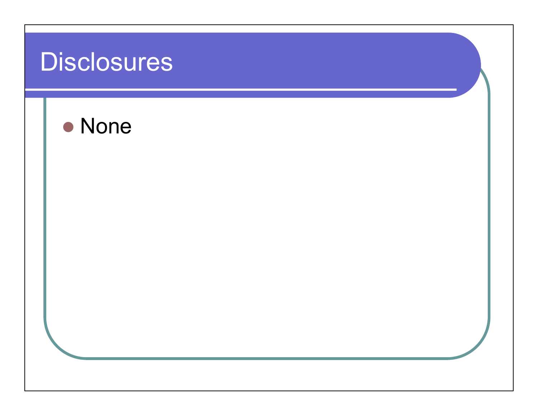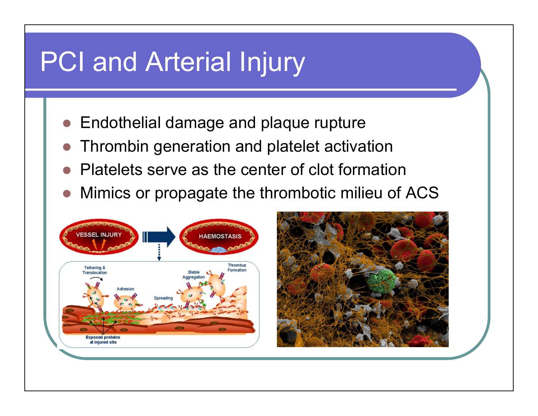### PCI and Arterial Injury

- **Endothelial damage and plaque rupture**
- **Thrombin generation and platelet activation**
- $\bigcirc$ Platelets serve as the center of clot formation
- $\bigcirc$ Mimics or propagate the thrombotic milieu of ACS



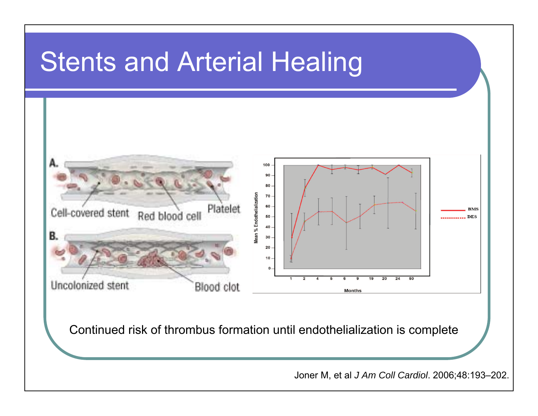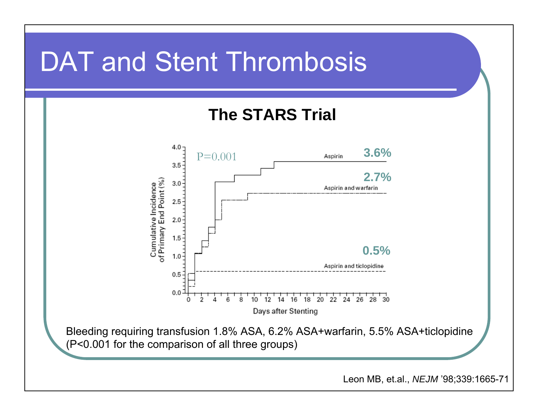### DAT and Stent Thrombosis

### **The STARS Trial**



Bleeding requiring transfusion 1.8% ASA, 6.2% ASA+warfarin, 5.5% ASA+ticlopidine (P<0.001 for the comparison of all three groups)

Leon MB, et.al., *NEJM* '98;339:1665-71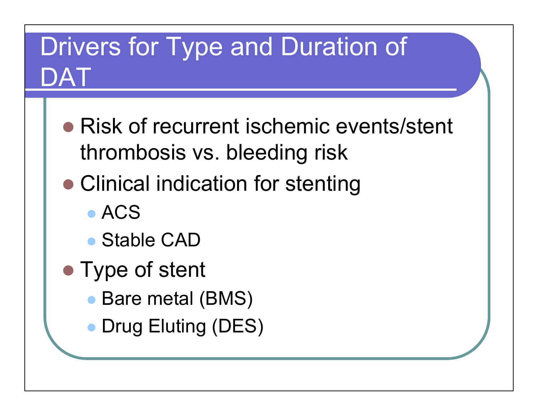## Drivers for Type and Duration of DAT

- Risk of recurrent ischemic events/stent thrombosis vs. bleeding risk
- **Clinical indication for stenting** 
	- ACS
	- Stable CAD
- Type of stent
	- $\bullet$ Bare metal (BMS)
	- $\bullet$ Drug Eluting (DES)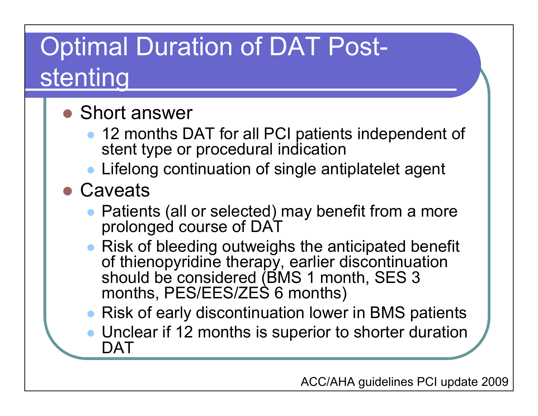# Optimal Duration of DAT Poststenting

### ● Short answer

- $\bullet$  12 months DAT for all PCI patients independent of stent type or procedural indication
- $\bullet$ Lifelong continuation of single antiplatelet agent
- Caveats
	- $\bullet$  Patients (all or selected) may benefit from a more prolonged course of DAT
	- Risk of bleeding outweighs the anticipated benefit of thienopyridine therapy, earlier discontinuation should be considered (BMS 1 month, SES 3 months, PES/EES/ZES 6 months)
	- $\bullet$ Risk of early discontinuation lower in BMS patients
	- $\bullet$  Unclear if 12 months is superior to shorter duration DAT
		- ACC/AHA guidelines PCI update 2009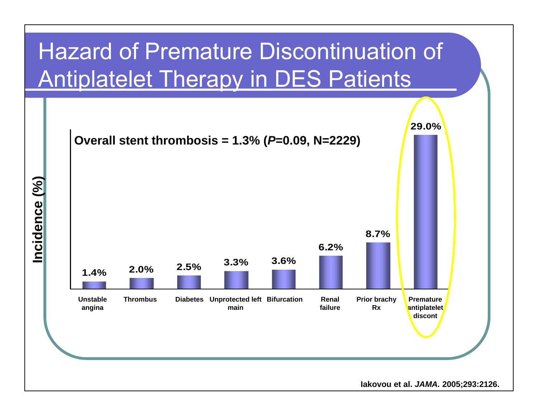### Hazard of Premature Discontinuation of Antiplatelet Therapy in DES Patients

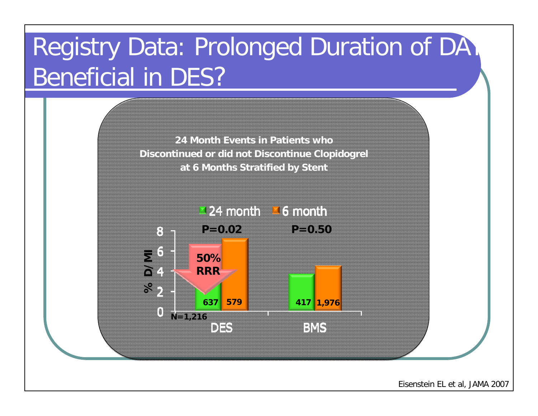# Registry Data: Prolonged Duration of DAT Beneficial in DES?

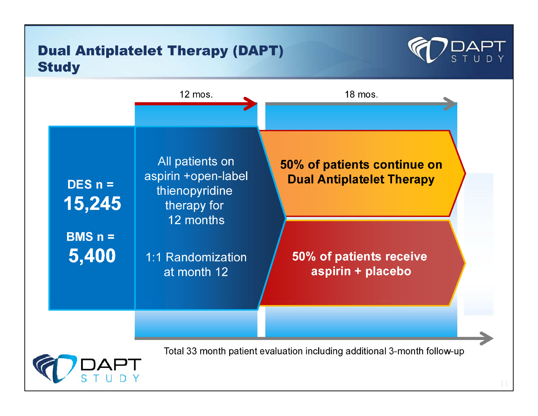#### **Dual Antiplatelet Therapy (DAPT) Study**



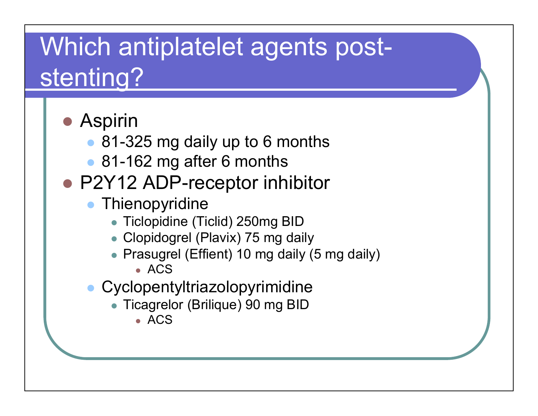## Which antiplatelet agents poststenting?

● Aspirin ● 81-325 mg daily up to 6 months ● 81-162 mg after 6 months ● P2Y12 ADP-receptor inhibitor  $\bullet$ **Thienopyridine**  Ticlopidine (Ticlid) 250mg BID Clopidogrel (Plavix) 75 mg daily • Prasugrel (Effient) 10 mg daily (5 mg daily) ACS  $\bullet$  Cyclopentyltriazolopyrimidine Ticagrelor (Brilique) 90 mg BID ACS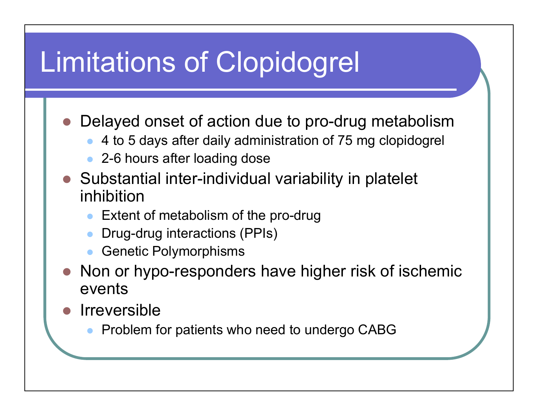# Limitations of Clopidogrel

 $\bullet$ Delayed onset of action due to pro-drug metabolism

- $\bullet$ 4 to 5 days after daily administration of 75 mg clopidogrel
- $\bullet$ 2-6 hours after loading dose
- Substantial inter-individual variability in platelet inhibition
	- $\bullet$ Extent of metabolism of the pro-drug
	- $\bullet$ Drug-drug interactions (PPIs)
	- $\bullet$ Genetic Polymorphisms
- $\bigcirc$  Non or hypo-responders have higher risk of ischemic events
- $\bullet$  Irreversible
	- $\bullet$ Problem for patients who need to undergo CABG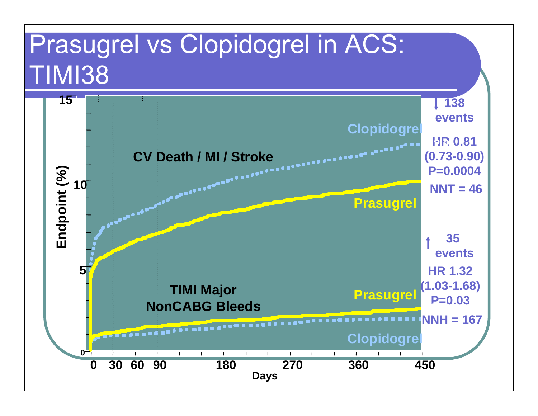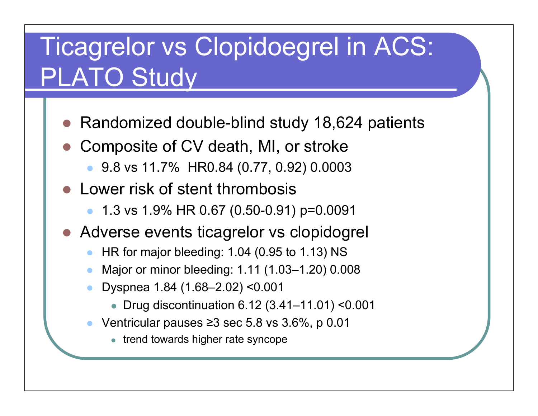## Ticagrelor vs Clopidoegrel in ACS: PLATO Study

- $\bigcirc$ Randomized double-blind study 18,624 patients
- $\bigcirc$  Composite of CV death, MI, or stroke
	- 9.8 vs 11.7% HR0.84 (0.77, 0.92) 0.0003
- $\bullet$  Lower risk of stent thrombosis
	- $\bullet$ 1.3 vs 1.9% HR 0.67 (0.50-0.91) p=0.0091
- Adverse events ticagrelor vs clopidogrel
	- $\bullet$ HR for major bleeding: 1.04 (0.95 to 1.13) NS
	- $\bullet$ Major or minor bleeding: 1.11 (1.03–1.20) 0.008
	- $\bullet$  Dyspnea 1.84 (1.68–2.02) <0.001
		- Drug discontinuation 6.12 (3.41–11.01) <0.001
	- $\bullet$  Ventricular pauses <sup>≥</sup>3 sec 5.8 vs 3.6%, p 0.01
		- trend towards higher rate syncope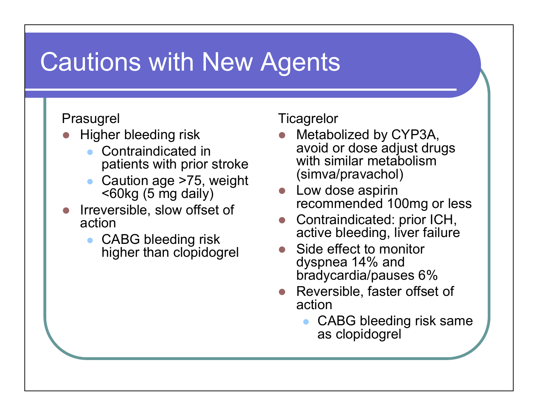### Cautions with New Agents

#### Prasugrel

- $\bullet$  Higher bleeding risk
	- $\bullet$  Contraindicated in patients with prior stroke
	- $\bullet$  Caution age >75, weight <60kg (5 mg daily)
- $\bigcirc$  Irreversible, slow offset of action
	- $\bullet$  CABG bleeding risk higher than clopidogrel

#### **Ticagrelor**

- $\bullet$  Metabolized by CYP3A, avoid or dose adjust drugs with similar metabolism (simva/pravachol)
- Low dose aspirin recommended 100mg or less
- $\bigcirc$  Contraindicated: prior ICH, active bleeding, liver failure
- $\bigcirc$  Side effect to monitor dyspnea 14% and bradycardia/pauses 6%
- Reversible, faster offset of action
	- $\bullet$  CABG bleeding risk same as clopidogrel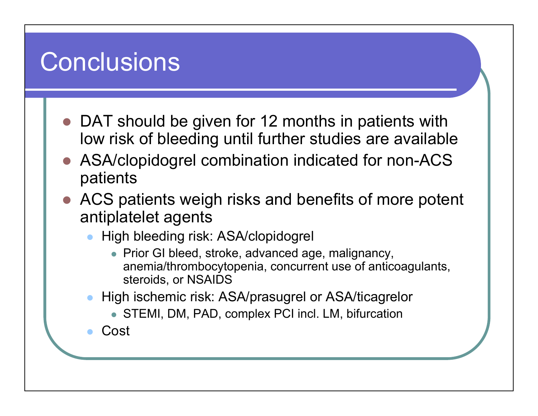### **Conclusions**

- $\bullet$ DAT should be given for 12 months in patients with low risk of bleeding until further studies are available
- $\bigcirc$  ASA/clopidogrel combination indicated for non-ACS patients
- $\bullet$  ACS patients weigh risks and benefits of more potent antiplatelet agents
	- $\bullet$  High bleeding risk: ASA/clopidogrel
		- Prior GI bleed, stroke, advanced age, malignancy, anemia/thrombocytopenia, concurrent use of anticoagulants, steroids, or NSAIDS
	- $\bullet$  High ischemic risk: ASA/prasugrel or ASA/ticagrelor
		- STEMI, DM, PAD, complex PCI incl. LM, bifurcation

 $\bullet$ Cost